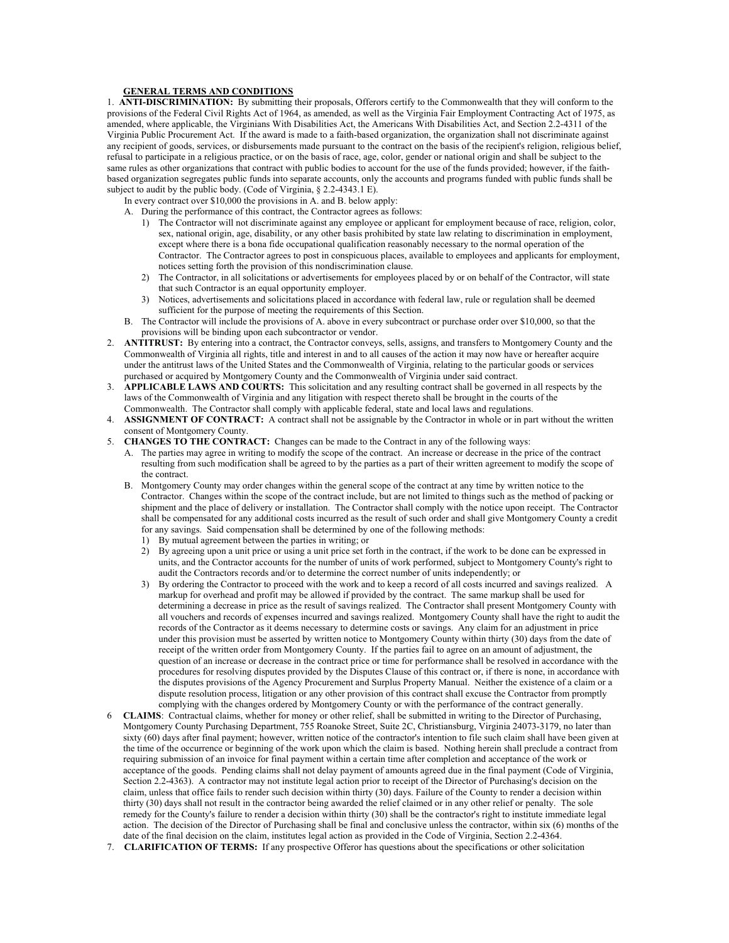## **GENERAL TERMS AND CONDITIONS**

1. **ANTI-DISCRIMINATION:** By submitting their proposals, Offerors certify to the Commonwealth that they will conform to the provisions of the Federal Civil Rights Act of 1964, as amended, as well as the Virginia Fair Employment Contracting Act of 1975, as amended, where applicable, the Virginians With Disabilities Act, the Americans With Disabilities Act, and Section 2.2-4311 of the Virginia Public Procurement Act. If the award is made to a faith-based organization, the organization shall not discriminate against any recipient of goods, services, or disbursements made pursuant to the contract on the basis of the recipient's religion, religious belief, refusal to participate in a religious practice, or on the basis of race, age, color, gender or national origin and shall be subject to the same rules as other organizations that contract with public bodies to account for the use of the funds provided; however, if the faithbased organization segregates public funds into separate accounts, only the accounts and programs funded with public funds shall be subject to audit by the public body. (Code of Virginia, § 2.2-4343.1 E).

In every contract over \$10,000 the provisions in A. and B. below apply:

- A. During the performance of this contract, the Contractor agrees as follows:
	- 1) The Contractor will not discriminate against any employee or applicant for employment because of race, religion, color, sex, national origin, age, disability, or any other basis prohibited by state law relating to discrimination in employment, except where there is a bona fide occupational qualification reasonably necessary to the normal operation of the Contractor. The Contractor agrees to post in conspicuous places, available to employees and applicants for employment, notices setting forth the provision of this nondiscrimination clause.
	- 2) The Contractor, in all solicitations or advertisements for employees placed by or on behalf of the Contractor, will state that such Contractor is an equal opportunity employer.
	- 3) Notices, advertisements and solicitations placed in accordance with federal law, rule or regulation shall be deemed sufficient for the purpose of meeting the requirements of this Section.
- B. The Contractor will include the provisions of A. above in every subcontract or purchase order over \$10,000, so that the provisions will be binding upon each subcontractor or vendor.
- 2. **ANTITRUST:** By entering into a contract, the Contractor conveys, sells, assigns, and transfers to Montgomery County and the Commonwealth of Virginia all rights, title and interest in and to all causes of the action it may now have or hereafter acquire under the antitrust laws of the United States and the Commonwealth of Virginia, relating to the particular goods or services purchased or acquired by Montgomery County and the Commonwealth of Virginia under said contract.
- 3. **APPLICABLE LAWS AND COURTS:** This solicitation and any resulting contract shall be governed in all respects by the laws of the Commonwealth of Virginia and any litigation with respect thereto shall be brought in the courts of the Commonwealth. The Contractor shall comply with applicable federal, state and local laws and regulations.
- 4. **ASSIGNMENT OF CONTRACT:** A contract shall not be assignable by the Contractor in whole or in part without the written consent of Montgomery County.
- 5. **CHANGES TO THE CONTRACT:** Changes can be made to the Contract in any of the following ways:
	- A. The parties may agree in writing to modify the scope of the contract. An increase or decrease in the price of the contract resulting from such modification shall be agreed to by the parties as a part of their written agreement to modify the scope of the contract.
	- B. Montgomery County may order changes within the general scope of the contract at any time by written notice to the Contractor. Changes within the scope of the contract include, but are not limited to things such as the method of packing or shipment and the place of delivery or installation. The Contractor shall comply with the notice upon receipt. The Contractor shall be compensated for any additional costs incurred as the result of such order and shall give Montgomery County a credit for any savings. Said compensation shall be determined by one of the following methods:
		- 1) By mutual agreement between the parties in writing; or
		- 2) By agreeing upon a unit price or using a unit price set forth in the contract, if the work to be done can be expressed in units, and the Contractor accounts for the number of units of work performed, subject to Montgomery County's right to audit the Contractors records and/or to determine the correct number of units independently; or
		- 3) By ordering the Contractor to proceed with the work and to keep a record of all costs incurred and savings realized. A markup for overhead and profit may be allowed if provided by the contract. The same markup shall be used for determining a decrease in price as the result of savings realized. The Contractor shall present Montgomery County with all vouchers and records of expenses incurred and savings realized. Montgomery County shall have the right to audit the records of the Contractor as it deems necessary to determine costs or savings. Any claim for an adjustment in price under this provision must be asserted by written notice to Montgomery County within thirty (30) days from the date of receipt of the written order from Montgomery County. If the parties fail to agree on an amount of adjustment, the question of an increase or decrease in the contract price or time for performance shall be resolved in accordance with the procedures for resolving disputes provided by the Disputes Clause of this contract or, if there is none, in accordance with the disputes provisions of the Agency Procurement and Surplus Property Manual. Neither the existence of a claim or a dispute resolution process, litigation or any other provision of this contract shall excuse the Contractor from promptly complying with the changes ordered by Montgomery County or with the performance of the contract generally.
- 6 **CLAIMS**: Contractual claims, whether for money or other relief, shall be submitted in writing to the Director of Purchasing, Montgomery County Purchasing Department, 755 Roanoke Street, Suite 2C, Christiansburg, Virginia 24073-3179, no later than sixty (60) days after final payment; however, written notice of the contractor's intention to file such claim shall have been given at the time of the occurrence or beginning of the work upon which the claim is based. Nothing herein shall preclude a contract from requiring submission of an invoice for final payment within a certain time after completion and acceptance of the work or acceptance of the goods. Pending claims shall not delay payment of amounts agreed due in the final payment (Code of Virginia, Section 2.2-4363). A contractor may not institute legal action prior to receipt of the Director of Purchasing's decision on the claim, unless that office fails to render such decision within thirty (30) days. Failure of the County to render a decision within thirty (30) days shall not result in the contractor being awarded the relief claimed or in any other relief or penalty. The sole remedy for the County's failure to render a decision within thirty (30) shall be the contractor's right to institute immediate legal action. The decision of the Director of Purchasing shall be final and conclusive unless the contractor, within six (6) months of the date of the final decision on the claim, institutes legal action as provided in the Code of Virginia, Section 2.2-4364.
- 7. **CLARIFICATION OF TERMS:** If any prospective Offeror has questions about the specifications or other solicitation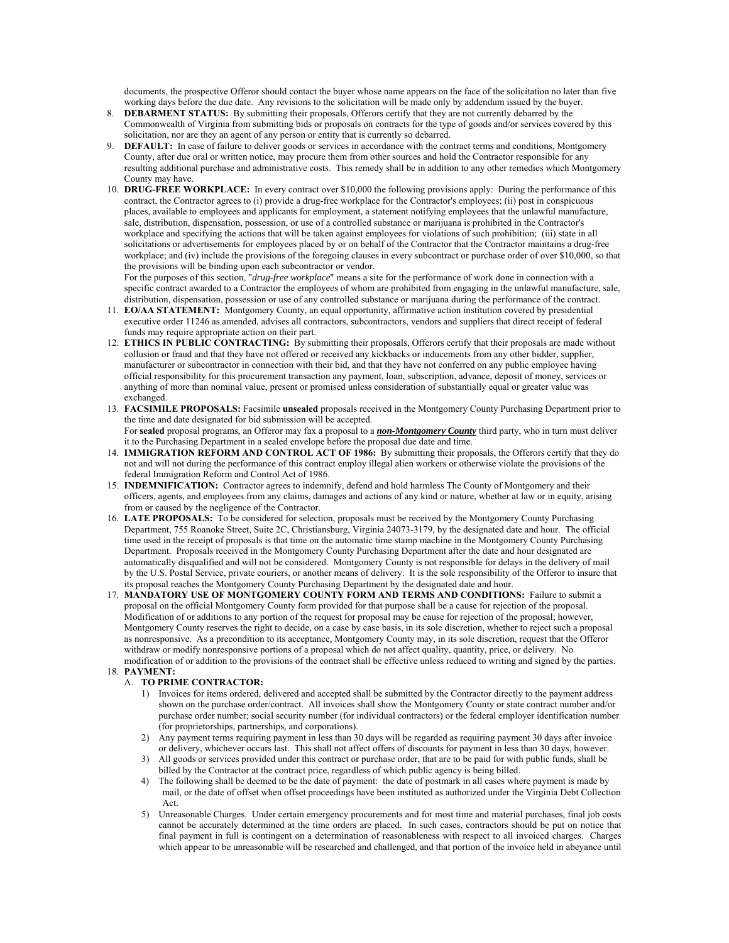documents, the prospective Offeror should contact the buyer whose name appears on the face of the solicitation no later than five working days before the due date. Any revisions to the solicitation will be made only by addendum issued by the buyer.

- 8. **DEBARMENT STATUS:** By submitting their proposals, Offerors certify that they are not currently debarred by the Commonwealth of Virginia from submitting bids or proposals on contracts for the type of goods and/or services covered by this solicitation, nor are they an agent of any person or entity that is currently so debarred.
- 9. **DEFAULT:** In case of failure to deliver goods or services in accordance with the contract terms and conditions, Montgomery County, after due oral or written notice, may procure them from other sources and hold the Contractor responsible for any resulting additional purchase and administrative costs. This remedy shall be in addition to any other remedies which Montgomery County may have.
- 10. **DRUG-FREE WORKPLACE:** In every contract over \$10,000 the following provisions apply: During the performance of this contract, the Contractor agrees to (i) provide a drug-free workplace for the Contractor's employees; (ii) post in conspicuous places, available to employees and applicants for employment, a statement notifying employees that the unlawful manufacture, sale, distribution, dispensation, possession, or use of a controlled substance or marijuana is prohibited in the Contractor's workplace and specifying the actions that will be taken against employees for violations of such prohibition; (iii) state in all solicitations or advertisements for employees placed by or on behalf of the Contractor that the Contractor maintains a drug-free workplace; and (iv) include the provisions of the foregoing clauses in every subcontract or purchase order of over \$10,000, so that the provisions will be binding upon each subcontractor or vendor.

 For the purposes of this section, "*drug-free workplace*" means a site for the performance of work done in connection with a specific contract awarded to a Contractor the employees of whom are prohibited from engaging in the unlawful manufacture, sale, distribution, dispensation, possession or use of any controlled substance or marijuana during the performance of the contract.

- 11. **EO/AA STATEMENT:** Montgomery County, an equal opportunity, affirmative action institution covered by presidential executive order 11246 as amended, advises all contractors, subcontractors, vendors and suppliers that direct receipt of federal funds may require appropriate action on their part.
- 12. **ETHICS IN PUBLIC CONTRACTING:** By submitting their proposals, Offerors certify that their proposals are made without collusion or fraud and that they have not offered or received any kickbacks or inducements from any other bidder, supplier, manufacturer or subcontractor in connection with their bid, and that they have not conferred on any public employee having official responsibility for this procurement transaction any payment, loan, subscription, advance, deposit of money, services or anything of more than nominal value, present or promised unless consideration of substantially equal or greater value was exchanged.
- 13. **FACSIMILE PROPOSALS:** Facsimile **unsealed** proposals received in the Montgomery County Purchasing Department prior to the time and date designated for bid submission will be accepted. For **sealed** proposal programs, an Offeror may fax a proposal to a *non-Montgomery County* third party, who in turn must deliver it to the Purchasing Department in a sealed envelope before the proposal due date and time.
- 14. **IMMIGRATION REFORM AND CONTROL ACT OF 1986:** By submitting their proposals, the Offerors certify that they do not and will not during the performance of this contract employ illegal alien workers or otherwise violate the provisions of the federal Immigration Reform and Control Act of 1986.
- 15. **INDEMNIFICATION:** Contractor agrees to indemnify, defend and hold harmless The County of Montgomery and their officers, agents, and employees from any claims, damages and actions of any kind or nature, whether at law or in equity, arising from or caused by the negligence of the Contractor.
- 16. **LATE PROPOSALS:** To be considered for selection, proposals must be received by the Montgomery County Purchasing Department, 755 Roanoke Street, Suite 2C, Christiansburg, Virginia 24073-3179, by the designated date and hour. The official time used in the receipt of proposals is that time on the automatic time stamp machine in the Montgomery County Purchasing Department. Proposals received in the Montgomery County Purchasing Department after the date and hour designated are automatically disqualified and will not be considered. Montgomery County is not responsible for delays in the delivery of mail by the U.S. Postal Service, private couriers, or another means of delivery. It is the sole responsibility of the Offeror to insure that its proposal reaches the Montgomery County Purchasing Department by the designated date and hour.
- 17. **MANDATORY USE OF MONTGOMERY COUNTY FORM AND TERMS AND CONDITIONS:** Failure to submit a proposal on the official Montgomery County form provided for that purpose shall be a cause for rejection of the proposal. Modification of or additions to any portion of the request for proposal may be cause for rejection of the proposal; however, Montgomery County reserves the right to decide, on a case by case basis, in its sole discretion, whether to reject such a proposal as nonresponsive. As a precondition to its acceptance, Montgomery County may, in its sole discretion, request that the Offeror withdraw or modify nonresponsive portions of a proposal which do not affect quality, quantity, price, or delivery. No modification of or addition to the provisions of the contract shall be effective unless reduced to writing and signed by the parties.

## 18. **PAYMENT:**

## A. **TO PRIME CONTRACTOR:**

- 1) Invoices for items ordered, delivered and accepted shall be submitted by the Contractor directly to the payment address shown on the purchase order/contract. All invoices shall show the Montgomery County or state contract number and/or purchase order number; social security number (for individual contractors) or the federal employer identification number (for proprietorships, partnerships, and corporations).
- 2) Any payment terms requiring payment in less than 30 days will be regarded as requiring payment 30 days after invoice or delivery, whichever occurs last. This shall not affect offers of discounts for payment in less than 30 days, however.
- 3) All goods or services provided under this contract or purchase order, that are to be paid for with public funds, shall be billed by the Contractor at the contract price, regardless of which public agency is being billed.
- 4) The following shall be deemed to be the date of payment: the date of postmark in all cases where payment is made by mail, or the date of offset when offset proceedings have been instituted as authorized under the Virginia Debt Collection Act.
- 5) Unreasonable Charges. Under certain emergency procurements and for most time and material purchases, final job costs cannot be accurately determined at the time orders are placed. In such cases, contractors should be put on notice that final payment in full is contingent on a determination of reasonableness with respect to all invoiced charges. Charges which appear to be unreasonable will be researched and challenged, and that portion of the invoice held in abeyance until